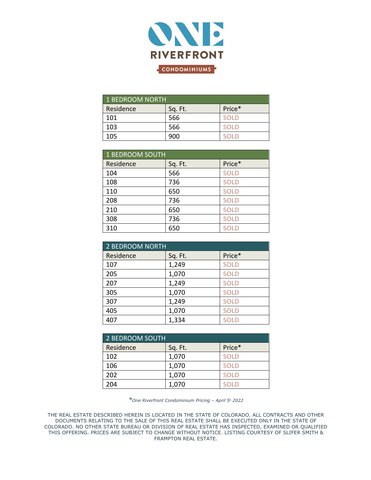

| <b>1 BEDROOM NORTH</b> |         |             |
|------------------------|---------|-------------|
| Residence              | Sq. Ft. | Price*      |
| 101                    | 566     | <b>SOLD</b> |
| 103                    | 566     | <b>SOLD</b> |
| 105                    | ദററ     | ח וח>       |

| 1 BEDROOM SOUTH |         |             |  |
|-----------------|---------|-------------|--|
| Residence       | Sq. Ft. | Price*      |  |
| 104             | 566     | <b>SOLD</b> |  |
| 108             | 736     | <b>SOLD</b> |  |
| 110             | 650     | <b>SOLD</b> |  |
| 208             | 736     | <b>SOLD</b> |  |
| 210             | 650     | <b>SOLD</b> |  |
| 308             | 736     | <b>SOLD</b> |  |
| 310             | 650     | <b>SOLD</b> |  |

| 2 BEDROOM NORTH |         |             |  |
|-----------------|---------|-------------|--|
| Residence       | Sq. Ft. | Price*      |  |
| 107             | 1,249   | <b>SOLD</b> |  |
| 205             | 1,070   | <b>SOLD</b> |  |
| 207             | 1,249   | <b>SOLD</b> |  |
| 305             | 1,070   | <b>SOLD</b> |  |
| 307             | 1,249   | <b>SOLD</b> |  |
| 405             | 1,070   | <b>SOLD</b> |  |
| 407             | 1,334   | <b>SOLD</b> |  |

| <b>2 BEDROOM SOUTH</b> |         |             |
|------------------------|---------|-------------|
| Residence              | Sq. Ft. | Price*      |
| 102                    | 1,070   | <b>SOLD</b> |
| 106                    | 1,070   | <b>SOLD</b> |
| 202                    | 1,070   | <b>SOLD</b> |
| 204                    | 1,070   | <b>SOLD</b> |

*\*One Riverfront Condominium Pricing – April 5t, 2022*

THE REAL ESTATE DESCRIBED HEREIN IS LOCATED IN THE STATE OF COLORADO. ALL CONTRACTS AND OTHER DOCUMENTS RELATING TO THE SALE OF THIS REAL ESTATE SHALL BE EXECUTED ONLY IN THE STATE OF COLORADO. NO OTHER STATE BUREAU OR DIVISION OF REAL ESTATE HAS INSPECTED, EXAMINED OR QUALIFIED THIS OFFERING. PRICES ARE SUBJECT TO CHANGE WITHOUT NOTICE. LISTING COURTESY OF SLIFER SMITH & FRAMPTON REAL ESTATE.